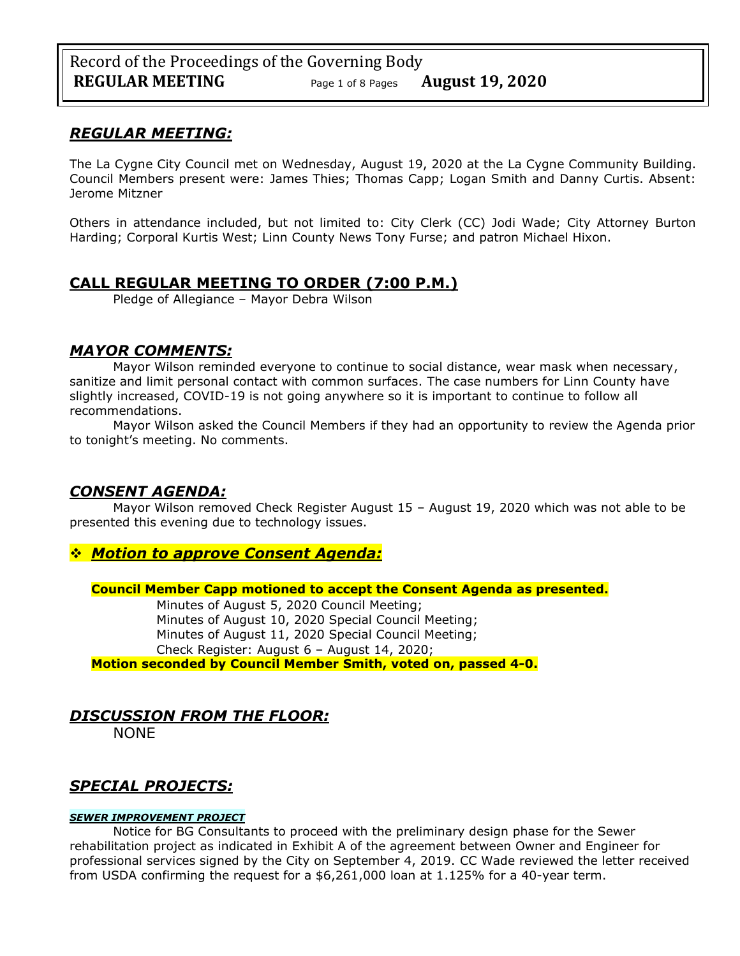## *REGULAR MEETING:*

The La Cygne City Council met on Wednesday, August 19, 2020 at the La Cygne Community Building. Council Members present were: James Thies; Thomas Capp; Logan Smith and Danny Curtis. Absent: Jerome Mitzner

Others in attendance included, but not limited to: City Clerk (CC) Jodi Wade; City Attorney Burton Harding; Corporal Kurtis West; Linn County News Tony Furse; and patron Michael Hixon.

## **CALL REGULAR MEETING TO ORDER (7:00 P.M.)**

Pledge of Allegiance – Mayor Debra Wilson

## *MAYOR COMMENTS:*

Mayor Wilson reminded everyone to continue to social distance, wear mask when necessary, sanitize and limit personal contact with common surfaces. The case numbers for Linn County have slightly increased, COVID-19 is not going anywhere so it is important to continue to follow all recommendations.

Mayor Wilson asked the Council Members if they had an opportunity to review the Agenda prior to tonight's meeting. No comments.

## *CONSENT AGENDA:*

Mayor Wilson removed Check Register August 15 – August 19, 2020 which was not able to be presented this evening due to technology issues.

## ❖ *Motion to approve Consent Agenda:*

**Council Member Capp motioned to accept the Consent Agenda as presented.**

Minutes of August 5, 2020 Council Meeting; Minutes of August 10, 2020 Special Council Meeting; Minutes of August 11, 2020 Special Council Meeting; Check Register: August 6 – August 14, 2020;

**Motion seconded by Council Member Smith, voted on, passed 4-0.** 

# *DISCUSSION FROM THE FLOOR:*

NONE

# *SPECIAL PROJECTS:*

#### *SEWER IMPROVEMENT PROJECT*

Notice for BG Consultants to proceed with the preliminary design phase for the Sewer rehabilitation project as indicated in Exhibit A of the agreement between Owner and Engineer for professional services signed by the City on September 4, 2019. CC Wade reviewed the letter received from USDA confirming the request for a \$6,261,000 loan at 1.125% for a 40-year term.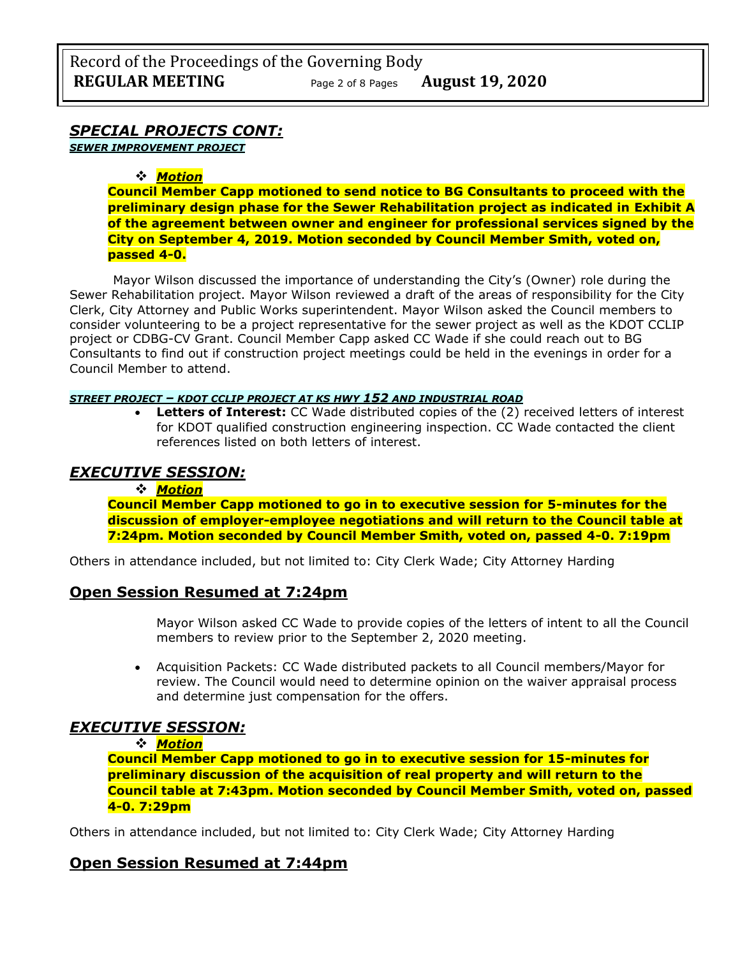## *SPECIAL PROJECTS CONT:*

*SEWER IMPROVEMENT PROJECT*

### ❖ *Motion*

**Council Member Capp motioned to send notice to BG Consultants to proceed with the preliminary design phase for the Sewer Rehabilitation project as indicated in Exhibit A of the agreement between owner and engineer for professional services signed by the City on September 4, 2019. Motion seconded by Council Member Smith, voted on, passed 4-0.** 

Mayor Wilson discussed the importance of understanding the City's (Owner) role during the Sewer Rehabilitation project. Mayor Wilson reviewed a draft of the areas of responsibility for the City Clerk, City Attorney and Public Works superintendent. Mayor Wilson asked the Council members to consider volunteering to be a project representative for the sewer project as well as the KDOT CCLIP project or CDBG-CV Grant. Council Member Capp asked CC Wade if she could reach out to BG Consultants to find out if construction project meetings could be held in the evenings in order for a Council Member to attend.

#### *STREET PROJECT – KDOT CCLIP PROJECT AT KS HWY 152 AND INDUSTRIAL ROAD*

• **Letters of Interest:** CC Wade distributed copies of the (2) received letters of interest for KDOT qualified construction engineering inspection. CC Wade contacted the client references listed on both letters of interest.

## *EXECUTIVE SESSION:*

#### ❖ *Motion*

**Council Member Capp motioned to go in to executive session for 5-minutes for the discussion of employer-employee negotiations and will return to the Council table at 7:24pm. Motion seconded by Council Member Smith, voted on, passed 4-0. 7:19pm** 

Others in attendance included, but not limited to: City Clerk Wade; City Attorney Harding

## **Open Session Resumed at 7:24pm**

Mayor Wilson asked CC Wade to provide copies of the letters of intent to all the Council members to review prior to the September 2, 2020 meeting.

• Acquisition Packets: CC Wade distributed packets to all Council members/Mayor for review. The Council would need to determine opinion on the waiver appraisal process and determine just compensation for the offers.

## *EXECUTIVE SESSION:*

#### ❖ *Motion*

**Council Member Capp motioned to go in to executive session for 15-minutes for preliminary discussion of the acquisition of real property and will return to the Council table at 7:43pm. Motion seconded by Council Member Smith, voted on, passed 4-0. 7:29pm** 

Others in attendance included, but not limited to: City Clerk Wade; City Attorney Harding

## **Open Session Resumed at 7:44pm**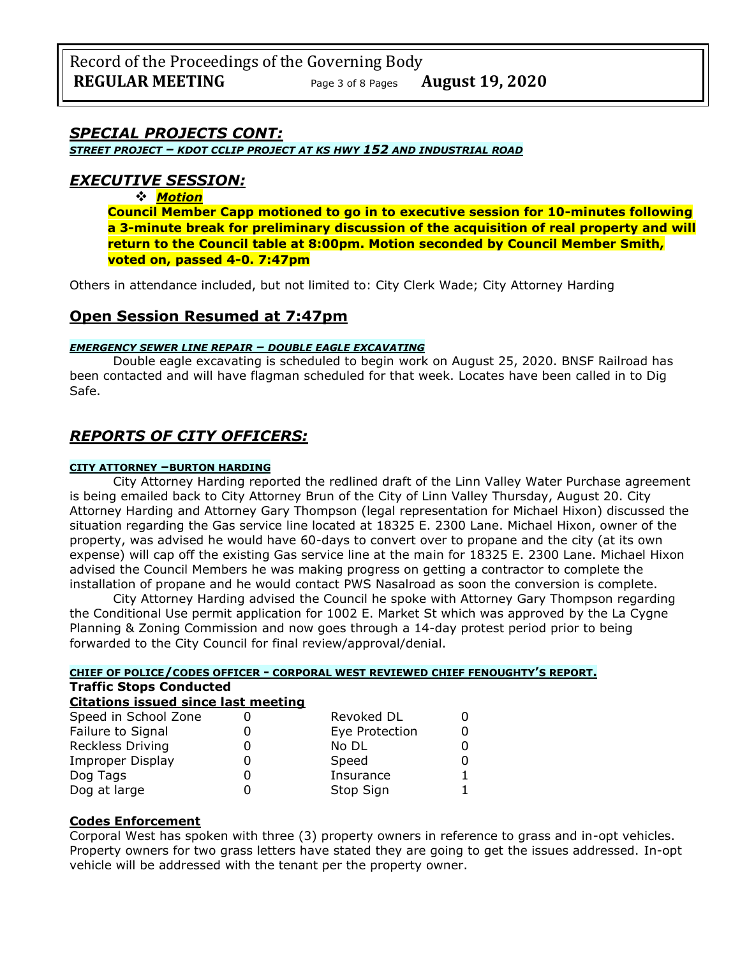## *SPECIAL PROJECTS CONT:*

*STREET PROJECT – KDOT CCLIP PROJECT AT KS HWY 152 AND INDUSTRIAL ROAD*

## *EXECUTIVE SESSION:*

❖ *Motion* 

**Council Member Capp motioned to go in to executive session for 10-minutes following a 3-minute break for preliminary discussion of the acquisition of real property and will return to the Council table at 8:00pm. Motion seconded by Council Member Smith, voted on, passed 4-0. 7:47pm** 

Others in attendance included, but not limited to: City Clerk Wade; City Attorney Harding

## **Open Session Resumed at 7:47pm**

#### *EMERGENCY SEWER LINE REPAIR – DOUBLE EAGLE EXCAVATING*

Double eagle excavating is scheduled to begin work on August 25, 2020. BNSF Railroad has been contacted and will have flagman scheduled for that week. Locates have been called in to Dig Safe.

## *REPORTS OF CITY OFFICERS:*

#### **CITY ATTORNEY –BURTON HARDING**

City Attorney Harding reported the redlined draft of the Linn Valley Water Purchase agreement is being emailed back to City Attorney Brun of the City of Linn Valley Thursday, August 20. City Attorney Harding and Attorney Gary Thompson (legal representation for Michael Hixon) discussed the situation regarding the Gas service line located at 18325 E. 2300 Lane. Michael Hixon, owner of the property, was advised he would have 60-days to convert over to propane and the city (at its own expense) will cap off the existing Gas service line at the main for 18325 E. 2300 Lane. Michael Hixon advised the Council Members he was making progress on getting a contractor to complete the installation of propane and he would contact PWS Nasalroad as soon the conversion is complete.

City Attorney Harding advised the Council he spoke with Attorney Gary Thompson regarding the Conditional Use permit application for 1002 E. Market St which was approved by the La Cygne Planning & Zoning Commission and now goes through a 14-day protest period prior to being forwarded to the City Council for final review/approval/denial.

| CHIEF OF POLICE/CODES OFFICER - CORPORAL WEST REVIEWED CHIEF FENOUGHTY'S REPORT.<br><b>Traffic Stops Conducted</b><br><b>Citations issued since last meeting</b> |  |           |  |  |                      |  |                |   |  |
|------------------------------------------------------------------------------------------------------------------------------------------------------------------|--|-----------|--|--|----------------------|--|----------------|---|--|
|                                                                                                                                                                  |  |           |  |  | Speed in School Zone |  | Revoked DL     |   |  |
|                                                                                                                                                                  |  |           |  |  | Failure to Signal    |  | Eye Protection | 0 |  |
| <b>Reckless Driving</b>                                                                                                                                          |  | No DL     |  |  |                      |  |                |   |  |
| <b>Improper Display</b>                                                                                                                                          |  | Speed     |  |  |                      |  |                |   |  |
| Dog Tags                                                                                                                                                         |  | Insurance |  |  |                      |  |                |   |  |
| Dog at large                                                                                                                                                     |  | Stop Sign |  |  |                      |  |                |   |  |

#### **Codes Enforcement**

Corporal West has spoken with three (3) property owners in reference to grass and in-opt vehicles. Property owners for two grass letters have stated they are going to get the issues addressed. In-opt vehicle will be addressed with the tenant per the property owner.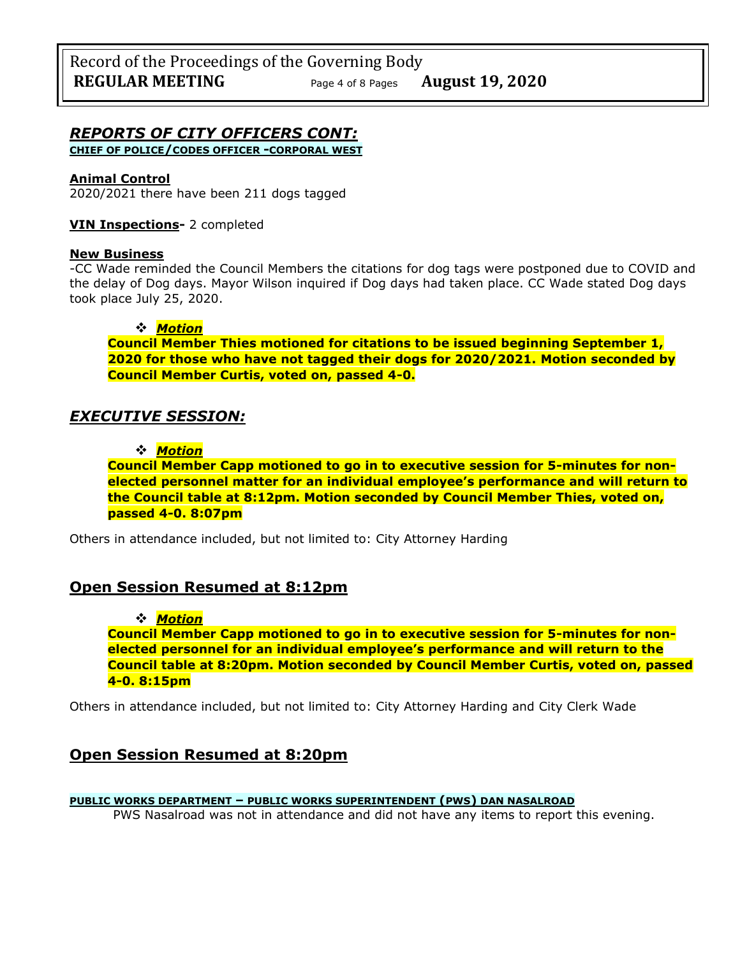# *REPORTS OF CITY OFFICERS CONT:*

**CHIEF OF POLICE/CODES OFFICER -CORPORAL WEST**

### **Animal Control**

2020/2021 there have been 211 dogs tagged

### **VIN Inspections-** 2 completed

#### **New Business**

-CC Wade reminded the Council Members the citations for dog tags were postponed due to COVID and the delay of Dog days. Mayor Wilson inquired if Dog days had taken place. CC Wade stated Dog days took place July 25, 2020.

### ❖ *Motion*

**Council Member Thies motioned for citations to be issued beginning September 1, 2020 for those who have not tagged their dogs for 2020/2021. Motion seconded by Council Member Curtis, voted on, passed 4-0.** 

## *EXECUTIVE SESSION:*

### ❖ *Motion*

**Council Member Capp motioned to go in to executive session for 5-minutes for nonelected personnel matter for an individual employee's performance and will return to the Council table at 8:12pm. Motion seconded by Council Member Thies, voted on, passed 4-0. 8:07pm** 

Others in attendance included, but not limited to: City Attorney Harding

## **Open Session Resumed at 8:12pm**

#### ❖ *Motion*

**Council Member Capp motioned to go in to executive session for 5-minutes for nonelected personnel for an individual employee's performance and will return to the Council table at 8:20pm. Motion seconded by Council Member Curtis, voted on, passed 4-0. 8:15pm** 

Others in attendance included, but not limited to: City Attorney Harding and City Clerk Wade

## **Open Session Resumed at 8:20pm**

## **PUBLIC WORKS DEPARTMENT – PUBLIC WORKS SUPERINTENDENT (PWS) DAN NASALROAD**

PWS Nasalroad was not in attendance and did not have any items to report this evening.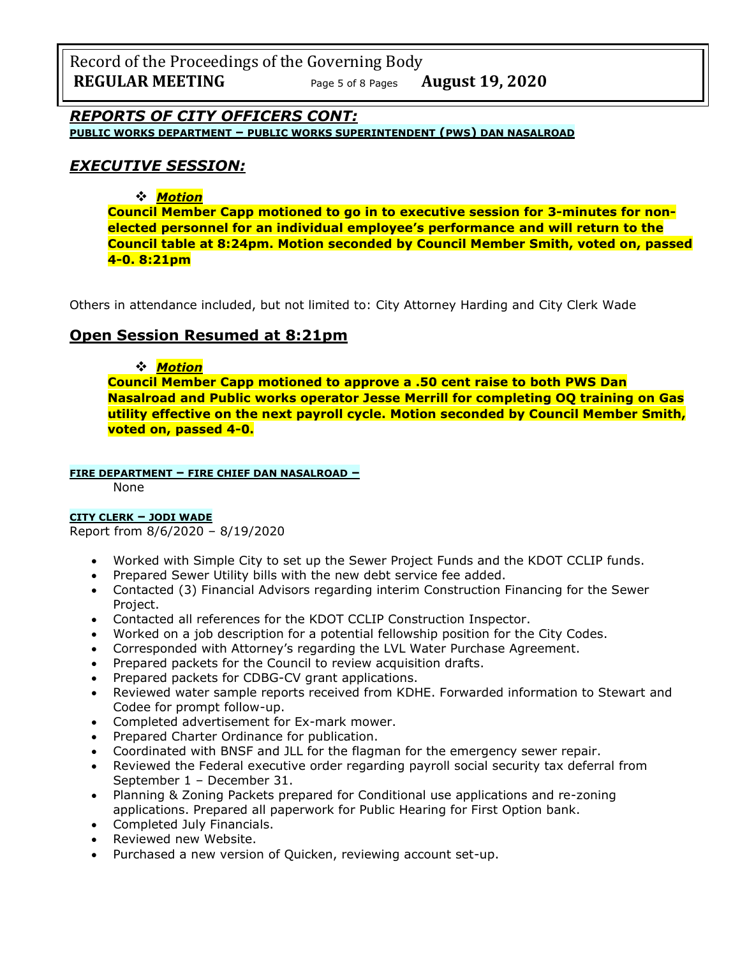Record of the Proceedings of the Governing Body **REGULAR MEETING** Page <sup>5</sup> of 8 Pages **August 19, 2020**

*REPORTS OF CITY OFFICERS CONT:*

**PUBLIC WORKS DEPARTMENT – PUBLIC WORKS SUPERINTENDENT (PWS) DAN NASALROAD**

## *EXECUTIVE SESSION:*

❖ *Motion* 

**Council Member Capp motioned to go in to executive session for 3-minutes for nonelected personnel for an individual employee's performance and will return to the Council table at 8:24pm. Motion seconded by Council Member Smith, voted on, passed 4-0. 8:21pm** 

Others in attendance included, but not limited to: City Attorney Harding and City Clerk Wade

## **Open Session Resumed at 8:21pm**

#### ❖ *Motion*

**Council Member Capp motioned to approve a .50 cent raise to both PWS Dan Nasalroad and Public works operator Jesse Merrill for completing OQ training on Gas utility effective on the next payroll cycle. Motion seconded by Council Member Smith, voted on, passed 4-0.** 

#### **FIRE DEPARTMENT – FIRE CHIEF DAN NASALROAD –**

None

### **CITY CLERK – JODI WADE**

Report from 8/6/2020 – 8/19/2020

- Worked with Simple City to set up the Sewer Project Funds and the KDOT CCLIP funds.
- Prepared Sewer Utility bills with the new debt service fee added.
- Contacted (3) Financial Advisors regarding interim Construction Financing for the Sewer Project.
- Contacted all references for the KDOT CCLIP Construction Inspector.
- Worked on a job description for a potential fellowship position for the City Codes.
- Corresponded with Attorney's regarding the LVL Water Purchase Agreement.
- Prepared packets for the Council to review acquisition drafts.
- Prepared packets for CDBG-CV grant applications.
- Reviewed water sample reports received from KDHE. Forwarded information to Stewart and Codee for prompt follow-up.
- Completed advertisement for Ex-mark mower.
- Prepared Charter Ordinance for publication.
- Coordinated with BNSF and JLL for the flagman for the emergency sewer repair.
- Reviewed the Federal executive order regarding payroll social security tax deferral from September 1 – December 31.
- Planning & Zoning Packets prepared for Conditional use applications and re-zoning applications. Prepared all paperwork for Public Hearing for First Option bank.
- Completed July Financials.
- Reviewed new Website.
- Purchased a new version of Quicken, reviewing account set-up.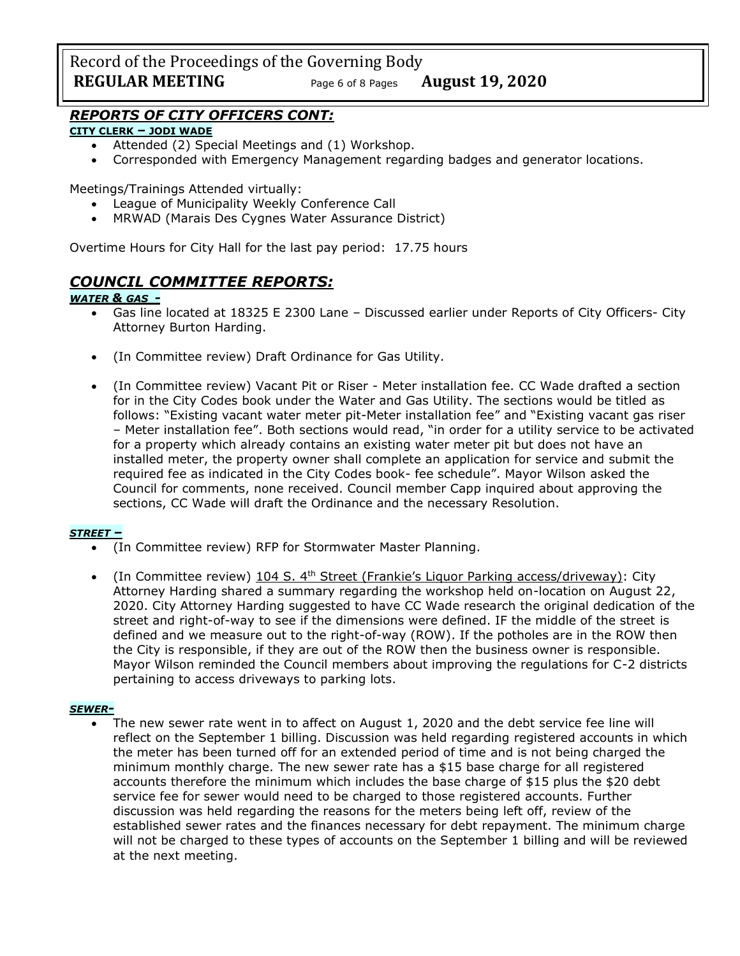Record of the Proceedings of the Governing Body **REGULAR MEETING** Page <sup>6</sup> of 8 Pages **August 19, 2020**

## *REPORTS OF CITY OFFICERS CONT:*

#### **CITY CLERK – JODI WADE**

- Attended (2) Special Meetings and (1) Workshop.
- Corresponded with Emergency Management regarding badges and generator locations.

Meetings/Trainings Attended virtually:

- League of Municipality Weekly Conference Call
- MRWAD (Marais Des Cygnes Water Assurance District)

Overtime Hours for City Hall for the last pay period: 17.75 hours

## *COUNCIL COMMITTEE REPORTS:*

#### *WATER & GAS -*

- Gas line located at 18325 E 2300 Lane Discussed earlier under Reports of City Officers- City Attorney Burton Harding.
- (In Committee review) Draft Ordinance for Gas Utility.
- (In Committee review) Vacant Pit or Riser Meter installation fee. CC Wade drafted a section for in the City Codes book under the Water and Gas Utility. The sections would be titled as follows: "Existing vacant water meter pit-Meter installation fee" and "Existing vacant gas riser – Meter installation fee". Both sections would read, "in order for a utility service to be activated for a property which already contains an existing water meter pit but does not have an installed meter, the property owner shall complete an application for service and submit the required fee as indicated in the City Codes book- fee schedule". Mayor Wilson asked the Council for comments, none received. Council member Capp inquired about approving the sections, CC Wade will draft the Ordinance and the necessary Resolution.

#### *STREET –*

- (In Committee review) RFP for Stormwater Master Planning.
- (In Committee review)  $104$  S.  $4<sup>th</sup>$  Street (Frankie's Liguor Parking access/driveway): City Attorney Harding shared a summary regarding the workshop held on-location on August 22, 2020. City Attorney Harding suggested to have CC Wade research the original dedication of the street and right-of-way to see if the dimensions were defined. IF the middle of the street is defined and we measure out to the right-of-way (ROW). If the potholes are in the ROW then the City is responsible, if they are out of the ROW then the business owner is responsible. Mayor Wilson reminded the Council members about improving the regulations for C-2 districts pertaining to access driveways to parking lots.

#### *SEWER-*

The new sewer rate went in to affect on August 1, 2020 and the debt service fee line will reflect on the September 1 billing. Discussion was held regarding registered accounts in which the meter has been turned off for an extended period of time and is not being charged the minimum monthly charge. The new sewer rate has a \$15 base charge for all registered accounts therefore the minimum which includes the base charge of \$15 plus the \$20 debt service fee for sewer would need to be charged to those registered accounts. Further discussion was held regarding the reasons for the meters being left off, review of the established sewer rates and the finances necessary for debt repayment. The minimum charge will not be charged to these types of accounts on the September 1 billing and will be reviewed at the next meeting.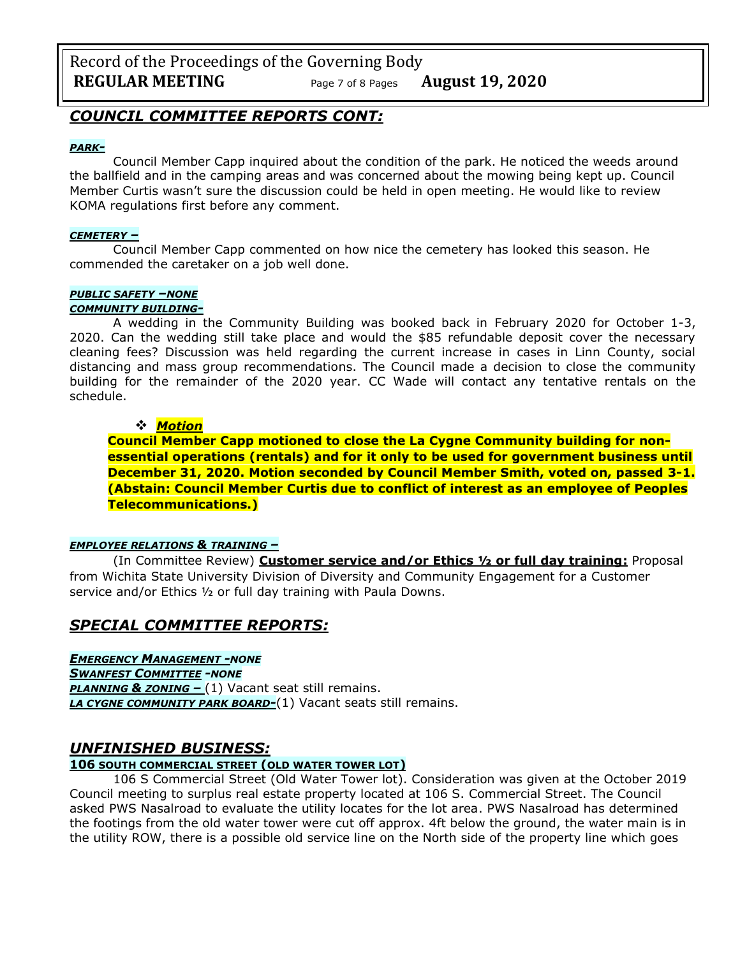Record of the Proceedings of the Governing Body **REGULAR MEETING** Page <sup>7</sup> of 8 Pages **August 19, 2020**

## *COUNCIL COMMITTEE REPORTS CONT:*

#### *PARK-*

Council Member Capp inquired about the condition of the park. He noticed the weeds around the ballfield and in the camping areas and was concerned about the mowing being kept up. Council Member Curtis wasn't sure the discussion could be held in open meeting. He would like to review KOMA regulations first before any comment.

#### *CEMETERY –*

Council Member Capp commented on how nice the cemetery has looked this season. He commended the caretaker on a job well done.

### *PUBLIC SAFETY –NONE*

#### *COMMUNITY BUILDING-*

A wedding in the Community Building was booked back in February 2020 for October 1-3, 2020. Can the wedding still take place and would the \$85 refundable deposit cover the necessary cleaning fees? Discussion was held regarding the current increase in cases in Linn County, social distancing and mass group recommendations. The Council made a decision to close the community building for the remainder of the 2020 year. CC Wade will contact any tentative rentals on the schedule.

#### ❖ *Motion*

**Council Member Capp motioned to close the La Cygne Community building for nonessential operations (rentals) and for it only to be used for government business until December 31, 2020. Motion seconded by Council Member Smith, voted on, passed 3-1. (Abstain: Council Member Curtis due to conflict of interest as an employee of Peoples Telecommunications.)**

#### *EMPLOYEE RELATIONS & TRAINING –*

(In Committee Review) **Customer service and/or Ethics ½ or full day training:** Proposal from Wichita State University Division of Diversity and Community Engagement for a Customer service and/or Ethics ½ or full day training with Paula Downs.

## *SPECIAL COMMITTEE REPORTS:*

*EMERGENCY MANAGEMENT -NONE*

*SWANFEST COMMITTEE -NONE*

*PLANNING & ZONING –* (1) Vacant seat still remains. *LA CYGNE COMMUNITY PARK BOARD-*(1) Vacant seats still remains.

#### *UNFINISHED BUSINESS:*

#### **106 SOUTH COMMERCIAL STREET (OLD WATER TOWER LOT)**

106 S Commercial Street (Old Water Tower lot). Consideration was given at the October 2019 Council meeting to surplus real estate property located at 106 S. Commercial Street. The Council asked PWS Nasalroad to evaluate the utility locates for the lot area. PWS Nasalroad has determined the footings from the old water tower were cut off approx. 4ft below the ground, the water main is in the utility ROW, there is a possible old service line on the North side of the property line which goes